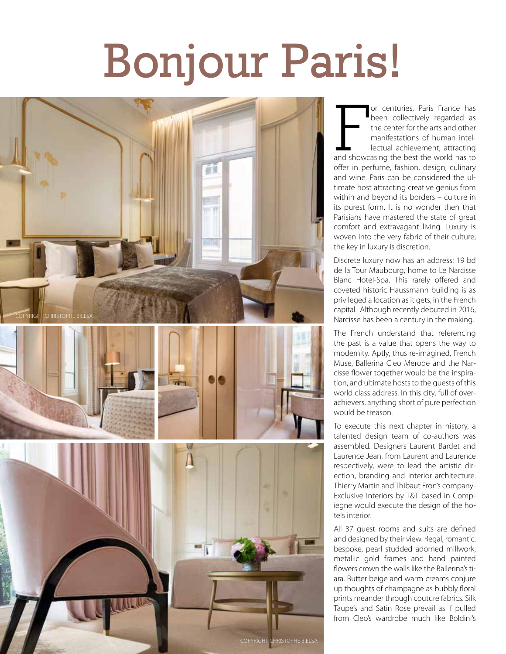## Bonjour Paris!



or centuries, Paris France has<br>been collectively regarded as<br>the center for the arts and other<br>manifestations of human intel-<br>lectual achievement; attracting<br>and showcasing the best the world has to or centuries, Paris France has been collectively regarded as the center for the arts and other manifestations of human intellectual achievement; attracting offer in perfume, fashion, design, culinary and wine. Paris can be considered the ultimate host attracting creative genius from within and beyond its borders – culture in its purest form. It is no wonder then that Parisians have mastered the state of great comfort and extravagant living. Luxury is woven into the very fabric of their culture; the key in luxury is discretion.

Discrete luxury now has an address: 19 bd de la Tour Maubourg, home to Le Narcisse Blanc Hotel-Spa. This rarely offered and coveted historic Haussmann building is as privileged a location as it gets, in the French capital. Although recently debuted in 2016, Narcisse has been a century in the making.

The French understand that referencing the past is a value that opens the way to modernity. Aptly, thus re-imagined, French Muse, Ballerina Cleo Merode and the Narcisse flower together would be the inspiration, and ultimate hosts to the guests of this world class address. In this city, full of overachievers, anything short of pure perfection would be treason.

To execute this next chapter in history, a talented design team of co-authors was assembled. Designers Laurent Bardet and Laurence Jean, from Laurent and Laurence respectively, were to lead the artistic direction, branding and interior architecture. Thierry Martin and Thibaut Fron's company-Exclusive Interiors by T&T based in Compiegne would execute the design of the hotels interior.

All 37 guest rooms and suits are defined and designed by their view. Regal, romantic, bespoke, pearl studded adorned millwork, metallic gold frames and hand painted flowers crown the walls like the Ballerina's tiara. Butter beige and warm creams conjure up thoughts of champagne as bubbly floral prints meander through couture fabrics. Silk Taupe's and Satin Rose prevail as if pulled from Cleo's wardrobe much like Boldini's